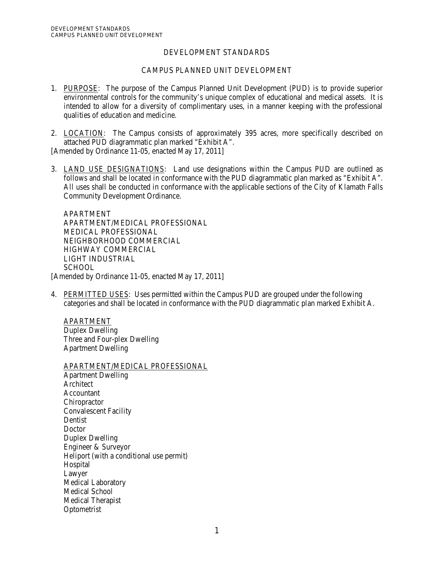# DEVELOPMENT STANDARDS

# CAMPUS PLANNED UNIT DEVELOPMENT

- 1. PURPOSE: The purpose of the Campus Planned Unit Development (PUD) is to provide superior environmental controls for the community's unique complex of educational and medical assets. It is intended to allow for a diversity of complimentary uses, in a manner keeping with the professional qualities of education and medicine.
- 2. LOCATION: The Campus consists of approximately 395 acres, more specifically described on attached PUD diagrammatic plan marked "Exhibit A".

[Amended by Ordinance 11-05, enacted May 17, 2011]

3. LAND USE DESIGNATIONS: Land use designations within the Campus PUD are outlined as follows and shall be located in conformance with the PUD diagrammatic plan marked as "Exhibit A". All uses shall be conducted in conformance with the applicable sections of the City of Klamath Falls Community Development Ordinance.

APARTMENT APARTMENT/MEDICAL PROFESSIONAL MEDICAL PROFESSIONAL NEIGHBORHOOD COMMERCIAL HIGHWAY COMMERCIAL LIGHT INDUSTRIAL SCHOOL [Amended by Ordinance 11-05, enacted May 17, 2011]

4. PERMITTED USES: Uses permitted within the Campus PUD are grouped under the following categories and shall be located in conformance with the PUD diagrammatic plan marked Exhibit A.

APARTMENT Duplex Dwelling Three and Four-plex Dwelling Apartment Dwelling

APARTMENT/MEDICAL PROFESSIONAL Apartment Dwelling Architect Accountant **Chiropractor** Convalescent Facility Dentist Doctor Duplex Dwelling Engineer & Surveyor Heliport (with a conditional use permit) Hospital Lawyer Medical Laboratory Medical School Medical Therapist Optometrist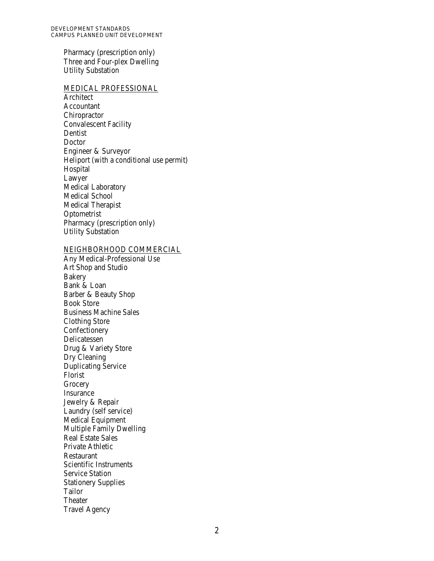Pharmacy (prescription only) Three and Four-plex Dwelling Utility Substation

#### MEDICAL PROFESSIONAL

Architect Accountant **Chiropractor** Convalescent Facility Dentist **Doctor** Engineer & Surveyor Heliport (with a conditional use permit) Hospital Lawyer Medical Laboratory Medical School Medical Therapist Optometrist Pharmacy (prescription only) Utility Substation

### NEIGHBORHOOD COMMERCIAL

Any Medical-Professional Use Art Shop and Studio Bakery Bank & Loan Barber & Beauty Shop Book Store Business Machine Sales Clothing Store Confectionery Delicatessen Drug & Variety Store Dry Cleaning Duplicating Service Florist **Grocery** Insurance Jewelry & Repair Laundry (self service) Medical Equipment Multiple Family Dwelling Real Estate Sales Private Athletic Restaurant Scientific Instruments Service Station Stationery Supplies Tailor Theater Travel Agency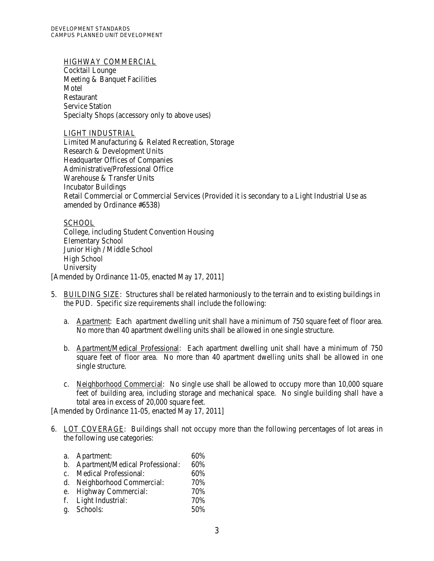DEVELOPMENT STANDARDS CAMPUS PLANNED UNIT DEVELOPMENT

### HIGHWAY COMMERCIAL

Cocktail Lounge Meeting & Banquet Facilities Motel Restaurant Service Station Specialty Shops (accessory only to above uses)

#### LIGHT INDUSTRIAL

Limited Manufacturing & Related Recreation, Storage Research & Development Units Headquarter Offices of Companies Administrative/Professional Office Warehouse & Transfer Units Incubator Buildings Retail Commercial or Commercial Services (Provided it is secondary to a Light Industrial Use as amended by Ordinance #6538)

## **SCHOOL**

College, including Student Convention Housing Elementary School Junior High / Middle School High School University [Amended by Ordinance 11-05, enacted May 17, 2011]

- 5. BUILDING SIZE: Structures shall be related harmoniously to the terrain and to existing buildings in the PUD. Specific size requirements shall include the following:
	- a. Apartment: Each apartment dwelling unit shall have a minimum of 750 square feet of floor area. No more than 40 apartment dwelling units shall be allowed in one single structure.
	- b. Apartment/Medical Professional: Each apartment dwelling unit shall have a minimum of 750 square feet of floor area. No more than 40 apartment dwelling units shall be allowed in one single structure.
	- c. Neighborhood Commercial: No single use shall be allowed to occupy more than 10,000 square feet of building area, including storage and mechanical space. No single building shall have a total area in excess of 20,000 square feet.

[Amended by Ordinance 11-05, enacted May 17, 2011]

6. LOT COVERAGE: Buildings shall not occupy more than the following percentages of lot areas in the following use categories:

| a. Apartment:                      | 60% |
|------------------------------------|-----|
| b. Apartment/Medical Professional: | 60% |
| c. Medical Professional:           | 60% |
| d. Neighborhood Commercial:        | 70% |
| e. Highway Commercial:             | 70% |
| f. Light Industrial:               | 70% |
| g. Schools:                        | 50% |
|                                    |     |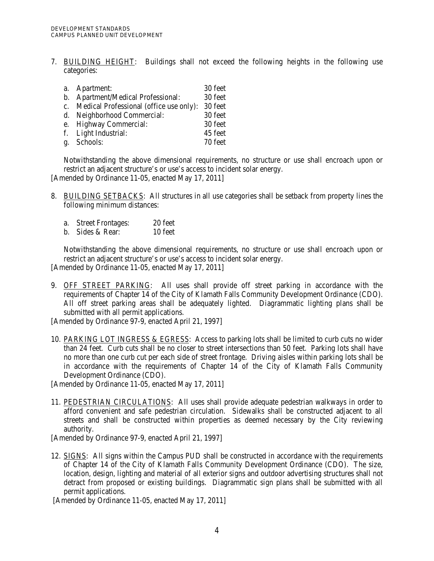7. BUILDING HEIGHT: Buildings shall not exceed the following heights in the following use categories:

| a. Apartment:                              | 30 feet |
|--------------------------------------------|---------|
| b. Apartment/Medical Professional:         | 30 feet |
| c. Medical Professional (office use only): | 30 feet |
| d. Neighborhood Commercial:                | 30 feet |
| e. Highway Commercial:                     | 30 feet |
| f. Light Industrial:                       | 45 feet |
| g. Schools:                                | 70 feet |
|                                            |         |

Notwithstanding the above dimensional requirements, no structure or use shall encroach upon or restrict an adjacent structure's or use's access to incident solar energy.

[Amended by Ordinance 11-05, enacted May 17, 2011]

- 8. BUILDING SETBACKS: All structures in all use categories shall be setback from property lines the following minimum distances:
	- a. Street Frontages: 20 feet
	- b. Sides & Rear: 10 feet

Notwithstanding the above dimensional requirements, no structure or use shall encroach upon or restrict an adjacent structure's or use's access to incident solar energy.

[Amended by Ordinance 11-05, enacted May 17, 2011]

9. OFF STREET PARKING: All uses shall provide off street parking in accordance with the requirements of Chapter 14 of the City of Klamath Falls Community Development Ordinance (CDO). All off street parking areas shall be adequately lighted. Diagrammatic lighting plans shall be submitted with all permit applications.

[Amended by Ordinance 97-9, enacted April 21, 1997]

10. PARKING LOT INGRESS & EGRESS: Access to parking lots shall be limited to curb cuts no wider than 24 feet. Curb cuts shall be no closer to street intersections than 50 feet. Parking lots shall have no more than one curb cut per each side of street frontage. Driving aisles within parking lots shall be in accordance with the requirements of Chapter 14 of the City of Klamath Falls Community Development Ordinance (CDO).

[Amended by Ordinance 11-05, enacted May 17, 2011]

11. PEDESTRIAN CIRCULATIONS: All uses shall provide adequate pedestrian walkways in order to afford convenient and safe pedestrian circulation. Sidewalks shall be constructed adjacent to all streets and shall be constructed within properties as deemed necessary by the City reviewing authority.

[Amended by Ordinance 97-9, enacted April 21, 1997]

12. SIGNS: All signs within the Campus PUD shall be constructed in accordance with the requirements of Chapter 14 of the City of Klamath Falls Community Development Ordinance (CDO). The size, location, design, lighting and material of all exterior signs and outdoor advertising structures shall not detract from proposed or existing buildings. Diagrammatic sign plans shall be submitted with all permit applications.

[Amended by Ordinance 11-05, enacted May 17, 2011]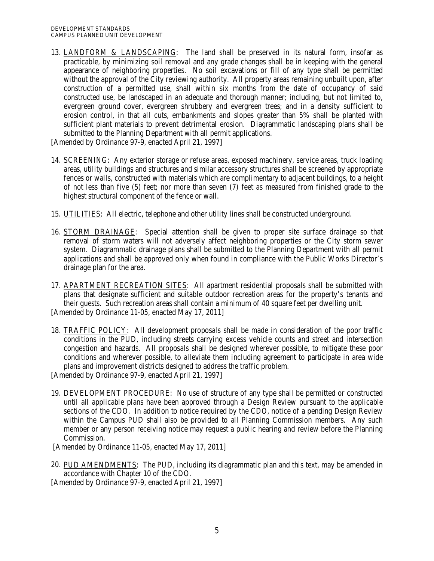13. LANDFORM & LANDSCAPING: The land shall be preserved in its natural form, insofar as practicable, by minimizing soil removal and any grade changes shall be in keeping with the general appearance of neighboring properties. No soil excavations or fill of any type shall be permitted without the approval of the City reviewing authority. All property areas remaining unbuilt upon, after construction of a permitted use, shall within six months from the date of occupancy of said constructed use, be landscaped in an adequate and thorough manner; including, but not limited to, evergreen ground cover, evergreen shrubbery and evergreen trees; and in a density sufficient to erosion control, in that all cuts, embankments and slopes greater than 5% shall be planted with sufficient plant materials to prevent detrimental erosion. Diagrammatic landscaping plans shall be submitted to the Planning Department with all permit applications.

[Amended by Ordinance 97-9, enacted April 21, 1997]

- 14. SCREENING: Any exterior storage or refuse areas, exposed machinery, service areas, truck loading areas, utility buildings and structures and similar accessory structures shall be screened by appropriate fences or walls, constructed with materials which are complimentary to adjacent buildings, to a height of not less than five (5) feet; nor more than seven (7) feet as measured from finished grade to the highest structural component of the fence or wall.
- 15. UTILITIES: All electric, telephone and other utility lines shall be constructed underground.
- 16. STORM DRAINAGE: Special attention shall be given to proper site surface drainage so that removal of storm waters will not adversely affect neighboring properties or the City storm sewer system. Diagrammatic drainage plans shall be submitted to the Planning Department with all permit applications and shall be approved only when found in compliance with the Public Works Director's drainage plan for the area.
- 17. APARTMENT RECREATION SITES: All apartment residential proposals shall be submitted with plans that designate sufficient and suitable outdoor recreation areas for the property's tenants and their guests. Such recreation areas shall contain a minimum of 40 square feet per dwelling unit. [Amended by Ordinance 11-05, enacted May 17, 2011]
- 18. TRAFFIC POLICY: All development proposals shall be made in consideration of the poor traffic conditions in the PUD, including streets carrying excess vehicle counts and street and intersection congestion and hazards. All proposals shall be designed wherever possible, to mitigate these poor conditions and wherever possible, to alleviate them including agreement to participate in area wide plans and improvement districts designed to address the traffic problem.

[Amended by Ordinance 97-9, enacted April 21, 1997]

19. DEVELOPMENT PROCEDURE: No use of structure of any type shall be permitted or constructed until all applicable plans have been approved through a Design Review pursuant to the applicable sections of the CDO. In addition to notice required by the CDO, notice of a pending Design Review within the Campus PUD shall also be provided to all Planning Commission members. Any such member or any person receiving notice may request a public hearing and review before the Planning Commission.

[Amended by Ordinance 11-05, enacted May 17, 2011]

20. PUD AMENDMENTS: The PUD, including its diagrammatic plan and this text, may be amended in accordance with Chapter 10 of the CDO.

[Amended by Ordinance 97-9, enacted April 21, 1997]